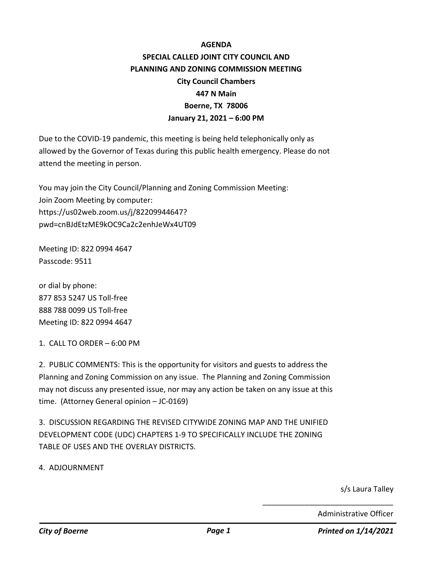## **AGENDA SPECIAL CALLED JOINT CITY COUNCIL AND PLANNING AND ZONING COMMISSION MEETING City Council Chambers 447 N Main Boerne, TX 78006 January 21, 2021 – 6:00 PM**

Due to the COVID-19 pandemic, this meeting is being held telephonically only as allowed by the Governor of Texas during this public health emergency. Please do not attend the meeting in person.

You may join the City Council/Planning and Zoning Commission Meeting: Join Zoom Meeting by computer: https://us02web.zoom.us/j/82209944647? pwd=cnBJdEtzME9kOC9Ca2c2enhJeWx4UT09

Meeting ID: 822 0994 4647 Passcode: 9511

or dial by phone: 877 853 5247 US Toll-free 888 788 0099 US Toll-free Meeting ID: 822 0994 4647

1. CALL TO ORDER – 6:00 PM

2. PUBLIC COMMENTS: This is the opportunity for visitors and guests to address the Planning and Zoning Commission on any issue. The Planning and Zoning Commission may not discuss any presented issue, nor may any action be taken on any issue at this time. (Attorney General opinion – JC-0169)

3. DISCUSSION REGARDING THE REVISED CITYWIDE ZONING MAP AND THE UNIFIED DEVELOPMENT CODE (UDC) CHAPTERS 1-9 TO SPECIFICALLY INCLUDE THE ZONING TABLE OF USES AND THE OVERLAY DISTRICTS.

4. ADJOURNMENT

s/s Laura Talley

Administrative Officer

\_\_\_\_\_\_\_\_\_\_\_\_\_\_\_\_\_\_\_\_\_\_\_\_\_\_\_\_\_\_\_